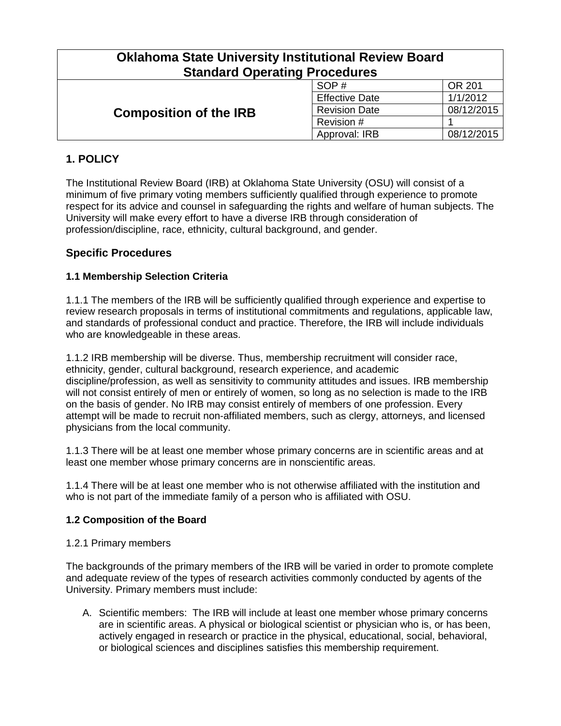| <b>Oklahoma State University Institutional Review Board</b><br><b>Standard Operating Procedures</b> |                       |            |  |
|-----------------------------------------------------------------------------------------------------|-----------------------|------------|--|
| <b>Composition of the IRB</b>                                                                       | SOP#                  | OR 201     |  |
|                                                                                                     | <b>Effective Date</b> | 1/1/2012   |  |
|                                                                                                     | <b>Revision Date</b>  | 08/12/2015 |  |
|                                                                                                     | Revision #            |            |  |
|                                                                                                     | Approval: IRB         | 08/12/2015 |  |

# **1. POLICY**

The Institutional Review Board (IRB) at Oklahoma State University (OSU) will consist of a minimum of five primary voting members sufficiently qualified through experience to promote respect for its advice and counsel in safeguarding the rights and welfare of human subjects. The University will make every effort to have a diverse IRB through consideration of profession/discipline, race, ethnicity, cultural background, and gender.

## **Specific Procedures**

### **1.1 Membership Selection Criteria**

1.1.1 The members of the IRB will be sufficiently qualified through experience and expertise to review research proposals in terms of institutional commitments and regulations, applicable law, and standards of professional conduct and practice. Therefore, the IRB will include individuals who are knowledgeable in these areas.

1.1.2 IRB membership will be diverse. Thus, membership recruitment will consider race, ethnicity, gender, cultural background, research experience, and academic discipline/profession, as well as sensitivity to community attitudes and issues. IRB membership will not consist entirely of men or entirely of women, so long as no selection is made to the IRB on the basis of gender. No IRB may consist entirely of members of one profession. Every attempt will be made to recruit non-affiliated members, such as clergy, attorneys, and licensed physicians from the local community.

1.1.3 There will be at least one member whose primary concerns are in scientific areas and at least one member whose primary concerns are in nonscientific areas.

1.1.4 There will be at least one member who is not otherwise affiliated with the institution and who is not part of the immediate family of a person who is affiliated with OSU.

#### **1.2 Composition of the Board**

#### 1.2.1 Primary members

The backgrounds of the primary members of the IRB will be varied in order to promote complete and adequate review of the types of research activities commonly conducted by agents of the University. Primary members must include:

A. Scientific members: The IRB will include at least one member whose primary concerns are in scientific areas. A physical or biological scientist or physician who is, or has been, actively engaged in research or practice in the physical, educational, social, behavioral, or biological sciences and disciplines satisfies this membership requirement.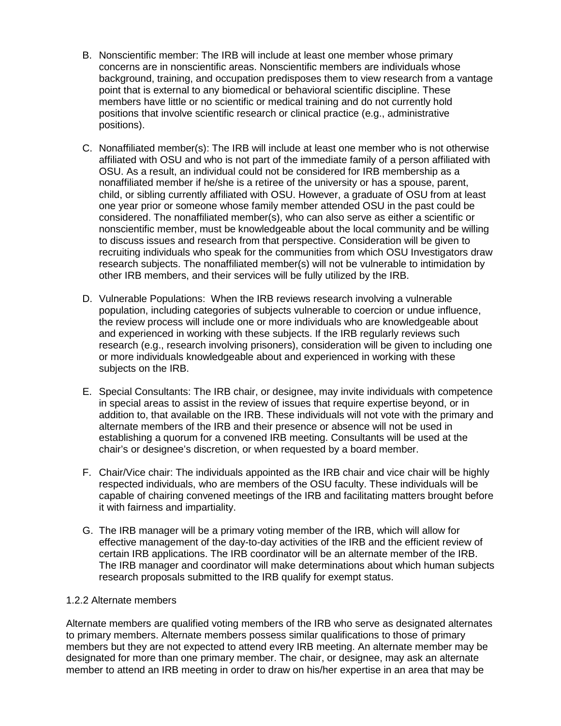- B. Nonscientific member: The IRB will include at least one member whose primary concerns are in nonscientific areas. Nonscientific members are individuals whose background, training, and occupation predisposes them to view research from a vantage point that is external to any biomedical or behavioral scientific discipline. These members have little or no scientific or medical training and do not currently hold positions that involve scientific research or clinical practice (e.g., administrative positions).
- C. Nonaffiliated member(s): The IRB will include at least one member who is not otherwise affiliated with OSU and who is not part of the immediate family of a person affiliated with OSU. As a result, an individual could not be considered for IRB membership as a nonaffiliated member if he/she is a retiree of the university or has a spouse, parent, child, or sibling currently affiliated with OSU. However, a graduate of OSU from at least one year prior or someone whose family member attended OSU in the past could be considered. The nonaffiliated member(s), who can also serve as either a scientific or nonscientific member, must be knowledgeable about the local community and be willing to discuss issues and research from that perspective. Consideration will be given to recruiting individuals who speak for the communities from which OSU Investigators draw research subjects. The nonaffiliated member(s) will not be vulnerable to intimidation by other IRB members, and their services will be fully utilized by the IRB.
- D. Vulnerable Populations: When the IRB reviews research involving a vulnerable population, including categories of subjects vulnerable to coercion or undue influence, the review process will include one or more individuals who are knowledgeable about and experienced in working with these subjects. If the IRB regularly reviews such research (e.g., research involving prisoners), consideration will be given to including one or more individuals knowledgeable about and experienced in working with these subjects on the IRB.
- E. Special Consultants: The IRB chair, or designee, may invite individuals with competence in special areas to assist in the review of issues that require expertise beyond, or in addition to, that available on the IRB. These individuals will not vote with the primary and alternate members of the IRB and their presence or absence will not be used in establishing a quorum for a convened IRB meeting. Consultants will be used at the chair's or designee's discretion, or when requested by a board member.
- F. Chair/Vice chair: The individuals appointed as the IRB chair and vice chair will be highly respected individuals, who are members of the OSU faculty. These individuals will be capable of chairing convened meetings of the IRB and facilitating matters brought before it with fairness and impartiality.
- G. The IRB manager will be a primary voting member of the IRB, which will allow for effective management of the day-to-day activities of the IRB and the efficient review of certain IRB applications. The IRB coordinator will be an alternate member of the IRB. The IRB manager and coordinator will make determinations about which human subjects research proposals submitted to the IRB qualify for exempt status.

#### 1.2.2 Alternate members

Alternate members are qualified voting members of the IRB who serve as designated alternates to primary members. Alternate members possess similar qualifications to those of primary members but they are not expected to attend every IRB meeting. An alternate member may be designated for more than one primary member. The chair, or designee, may ask an alternate member to attend an IRB meeting in order to draw on his/her expertise in an area that may be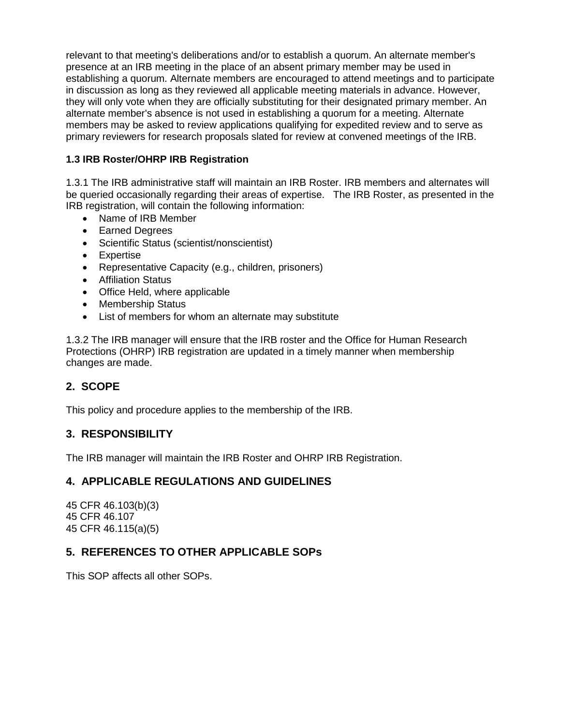relevant to that meeting's deliberations and/or to establish a quorum. An alternate member's presence at an IRB meeting in the place of an absent primary member may be used in establishing a quorum. Alternate members are encouraged to attend meetings and to participate in discussion as long as they reviewed all applicable meeting materials in advance. However, they will only vote when they are officially substituting for their designated primary member. An alternate member's absence is not used in establishing a quorum for a meeting. Alternate members may be asked to review applications qualifying for expedited review and to serve as primary reviewers for research proposals slated for review at convened meetings of the IRB.

## **1.3 IRB Roster/OHRP IRB Registration**

1.3.1 The IRB administrative staff will maintain an IRB Roster. IRB members and alternates will be queried occasionally regarding their areas of expertise. The IRB Roster, as presented in the IRB registration, will contain the following information:

- Name of IRB Member
- Earned Degrees
- Scientific Status (scientist/nonscientist)
- Expertise
- Representative Capacity (e.g., children, prisoners)
- Affiliation Status
- Office Held, where applicable
- Membership Status
- List of members for whom an alternate may substitute

1.3.2 The IRB manager will ensure that the IRB roster and the Office for Human Research Protections (OHRP) IRB registration are updated in a timely manner when membership changes are made.

# **2. SCOPE**

This policy and procedure applies to the membership of the IRB.

### **3. RESPONSIBILITY**

The IRB manager will maintain the IRB Roster and OHRP IRB Registration.

### **4. APPLICABLE REGULATIONS AND GUIDELINES**

45 CFR 46.103(b)(3) 45 CFR 46.107 45 CFR 46.115(a)(5)

### **5. REFERENCES TO OTHER APPLICABLE SOPs**

This SOP affects all other SOPs.